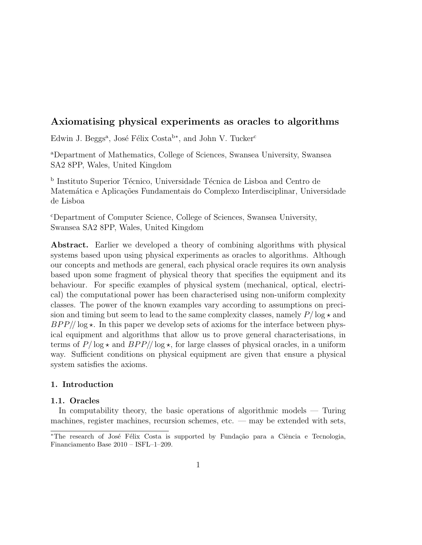# Axiomatising physical experiments as oracles to algorithms

Edwin J. Beggs<sup>a</sup>, José Félix Costa<sup>b\*</sup>, and John V. Tucker<sup>c</sup>

<sup>a</sup>Department of Mathematics, College of Sciences, Swansea University, Swansea SA2 8PP, Wales, United Kingdom

<sup>b</sup> Instituto Superior Técnico, Universidade Técnica de Lisboa and Centro de Matemática e Aplicações Fundamentais do Complexo Interdisciplinar, Universidade de Lisboa

<sup>c</sup>Department of Computer Science, College of Sciences, Swansea University, Swansea SA2 8PP, Wales, United Kingdom

Abstract. Earlier we developed a theory of combining algorithms with physical systems based upon using physical experiments as oracles to algorithms. Although our concepts and methods are general, each physical oracle requires its own analysis based upon some fragment of physical theory that specifies the equipment and its behaviour. For specific examples of physical system (mechanical, optical, electrical) the computational power has been characterised using non-uniform complexity classes. The power of the known examples vary according to assumptions on precision and timing but seem to lead to the same complexity classes, namely  $P/\log \star$  and  $BPP/|\log \star|$ . In this paper we develop sets of axioms for the interface between physical equipment and algorithms that allow us to prove general characterisations, in terms of  $P/\log \star$  and  $BPP/\log \star$ , for large classes of physical oracles, in a uniform way. Sufficient conditions on physical equipment are given that ensure a physical system satisfies the axioms.

# 1. Introduction

# 1.1. Oracles

In computability theory, the basic operations of algorithmic models — Turing machines, register machines, recursion schemes, etc. — may be extended with sets,

<sup>\*</sup>The research of José Félix Costa is supported by Fundação para a Ciência e Tecnologia, Financiamento Base 2010 – ISFL–1–209.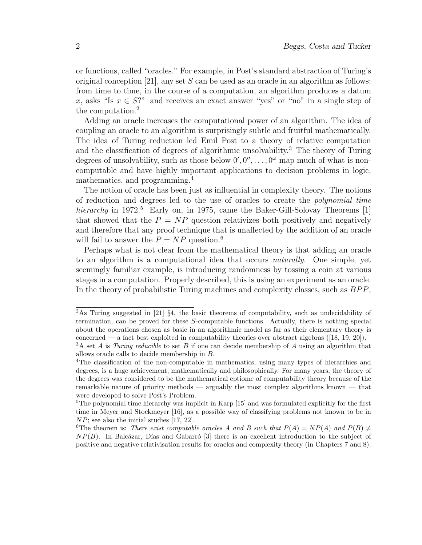or functions, called "oracles." For example, in Post's standard abstraction of Turing's original conception [21], any set  $S$  can be used as an oracle in an algorithm as follows: from time to time, in the course of a computation, an algorithm produces a datum x, asks "Is  $x \in S$ ?" and receives an exact answer "yes" or "no" in a single step of the computation.<sup>2</sup>

Adding an oracle increases the computational power of an algorithm. The idea of coupling an oracle to an algorithm is surprisingly subtle and fruitful mathematically. The idea of Turing reduction led Emil Post to a theory of relative computation and the classification of degrees of algorithmic unsolvability.<sup>3</sup> The theory of Turing degrees of unsolvability, such as those below  $0', 0'', \ldots, 0^{\omega}$  map much of what is noncomputable and have highly important applications to decision problems in logic, mathematics, and programming.<sup>4</sup>

The notion of oracle has been just as influential in complexity theory. The notions of reduction and degrees led to the use of oracles to create the polynomial time hierarchy in 1972.<sup>5</sup> Early on, in 1975, came the Baker-Gill-Solovay Theorems [1] that showed that the  $P = NP$  question relativizes both positively and negatively and therefore that any proof technique that is unaffected by the addition of an oracle will fail to answer the  $P = NP$  question.<sup>6</sup>

Perhaps what is not clear from the mathematical theory is that adding an oracle to an algorithm is a computational idea that occurs *naturally*. One simple, yet seemingly familiar example, is introducing randomness by tossing a coin at various stages in a computation. Properly described, this is using an experiment as an oracle. In the theory of probabilistic Turing machines and complexity classes, such as  $BPP$ ,

<sup>&</sup>lt;sup>2</sup>As Turing suggested in [21] §4, the basic theorems of computability, such as undecidability of termination, can be proved for these S-computable functions. Actually, there is nothing special about the operations chosen as basic in an algorithmic model as far as their elementary theory is concerned — a fact best exploited in computability theories over abstract algebras ([18, 19, 20]).

<sup>&</sup>lt;sup>3</sup>A set A is Turing reducible to set B if one can decide membership of A using an algorithm that allows oracle calls to decide membership in B.

<sup>4</sup>The classification of the non-computable in mathematics, using many types of hierarchies and degrees, is a huge achievement, mathematically and philosophically. For many years, the theory of the degrees was considered to be the mathematical eptiome of computability theory because of the remarkable nature of priority methods — arguably the most complex algorithms known — that were developed to solve Post's Problem.

<sup>&</sup>lt;sup>5</sup>The polynomial time hierarchy was implicit in Karp  $[15]$  and was formulated explicitly for the first time in Meyer and Stockmeyer [16], as a possible way of classifying problems not known to be in  $NP$ ; see also the initial studies [17, 22].

<sup>&</sup>lt;sup>6</sup>The theorem is: There exist computable oracles A and B such that  $P(A) = NP(A)$  and  $P(B) \neq$  $NP(B)$ . In Balcázar, Días and Gabarró [3] there is an excellent introduction to the subject of positive and negative relativisation results for oracles and complexity theory (in Chapters 7 and 8).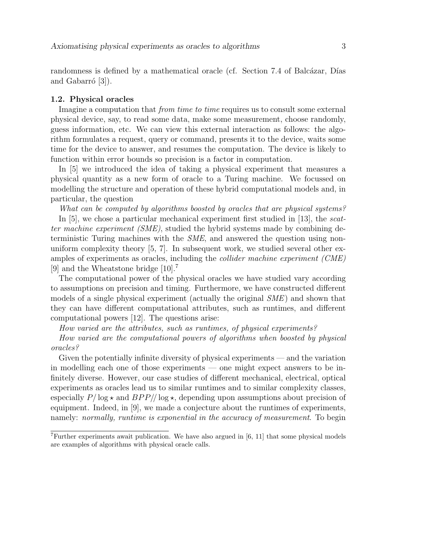randomness is defined by a mathematical oracle (cf. Section 7.4 of Balcázar, Días and Gabarró  $[3]$ ).

### 1.2. Physical oracles

Imagine a computation that *from time to time* requires us to consult some external physical device, say, to read some data, make some measurement, choose randomly, guess information, etc. We can view this external interaction as follows: the algorithm formulates a request, query or command, presents it to the device, waits some time for the device to answer, and resumes the computation. The device is likely to function within error bounds so precision is a factor in computation.

In [5] we introduced the idea of taking a physical experiment that measures a physical quantity as a new form of oracle to a Turing machine. We focussed on modelling the structure and operation of these hybrid computational models and, in particular, the question

What can be computed by algorithms boosted by oracles that are physical systems? In [5], we chose a particular mechanical experiment first studied in [13], the *scat*ter machine experiment (SME), studied the hybrid systems made by combining deterministic Turing machines with the SME, and answered the question using nonuniform complexity theory [5, 7]. In subsequent work, we studied several other examples of experiments as oracles, including the *collider machine experiment (CME)* [9] and the Wheatstone bridge [10].<sup>7</sup>

The computational power of the physical oracles we have studied vary according to assumptions on precision and timing. Furthermore, we have constructed different models of a single physical experiment (actually the original SME) and shown that they can have different computational attributes, such as runtimes, and different computational powers [12]. The questions arise:

How varied are the attributes, such as runtimes, of physical experiments?

How varied are the computational powers of algorithms when boosted by physical oracles?

Given the potentially infinite diversity of physical experiments — and the variation in modelling each one of those experiments — one might expect answers to be infinitely diverse. However, our case studies of different mechanical, electrical, optical experiments as oracles lead us to similar runtimes and to similar complexity classes, especially  $P/\log \star$  and  $BPP/\log \star$ , depending upon assumptions about precision of equipment. Indeed, in [9], we made a conjecture about the runtimes of experiments, namely: normally, runtime is exponential in the accuracy of measurement. To begin

<sup>&</sup>lt;sup>7</sup>Further experiments await publication. We have also argued in  $[6, 11]$  that some physical models are examples of algorithms with physical oracle calls.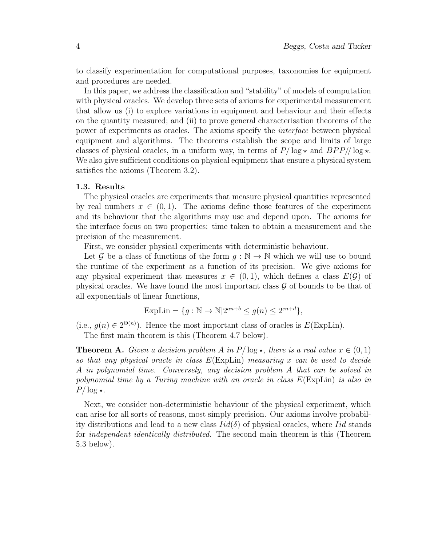to classify experimentation for computational purposes, taxonomies for equipment and procedures are needed.

In this paper, we address the classification and "stability" of models of computation with physical oracles. We develop three sets of axioms for experimental measurement that allow us (i) to explore variations in equipment and behaviour and their effects on the quantity measured; and (ii) to prove general characterisation theorems of the power of experiments as oracles. The axioms specify the interface between physical equipment and algorithms. The theorems establish the scope and limits of large classes of physical oracles, in a uniform way, in terms of  $P/\log \star$  and  $BPP/\log \star$ . We also give sufficient conditions on physical equipment that ensure a physical system satisfies the axioms (Theorem 3.2).

### 1.3. Results

The physical oracles are experiments that measure physical quantities represented by real numbers  $x \in (0,1)$ . The axioms define those features of the experiment and its behaviour that the algorithms may use and depend upon. The axioms for the interface focus on two properties: time taken to obtain a measurement and the precision of the measurement.

First, we consider physical experiments with deterministic behaviour.

Let G be a class of functions of the form  $g : \mathbb{N} \to \mathbb{N}$  which we will use to bound the runtime of the experiment as a function of its precision. We give axioms for any physical experiment that measures  $x \in (0,1)$ , which defines a class  $E(\mathcal{G})$  of physical oracles. We have found the most important class  $\mathcal G$  of bounds to be that of all exponentials of linear functions,

$$
ExpLin = \{ g : \mathbb{N} \to \mathbb{N} | 2^{an+b} \le g(n) \le 2^{cn+d} \},
$$

(i.e.,  $g(n) \in 2^{\Theta(n)}$ ). Hence the most important class of oracles is  $E(\text{Explin})$ .

The first main theorem is this (Theorem 4.7 below).

**Theorem A.** Given a decision problem A in  $P/\log \star$ , there is a real value  $x \in (0,1)$ so that any physical oracle in class  $E(\text{Explin})$  measuring x can be used to decide A in polynomial time. Conversely, any decision problem A that can be solved in polynomial time by a Turing machine with an oracle in class E(ExpLin) is also in  $P/\log \star$ .

Next, we consider non-deterministic behaviour of the physical experiment, which can arise for all sorts of reasons, most simply precision. Our axioms involve probability distributions and lead to a new class  $Iid(\delta)$  of physical oracles, where Iid stands for *independent identically distributed*. The second main theorem is this (Theorem 5.3 below).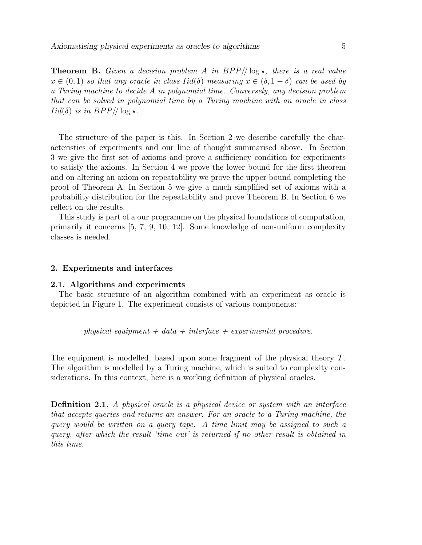**Theorem B.** Given a decision problem A in  $BPP/|\log \star$ , there is a real value  $x \in (0, 1)$  so that any oracle in class Iid(δ) measuring  $x \in (\delta, 1 - \delta)$  can be used by a Turing machine to decide A in polynomial time. Conversely, any decision problem that can be solved in polynomial time by a Turing machine with an oracle in class  $Iid(\delta)$  is in  $BPP/\ell \log \star$ .

The structure of the paper is this. In Section 2 we describe carefully the characteristics of experiments and our line of thought summarised above. In Section 3 we give the first set of axioms and prove a sufficiency condition for experiments to satisfy the axioms. In Section 4 we prove the lower bound for the first theorem and on altering an axiom on repeatability we prove the upper bound completing the proof of Theorem A. In Section 5 we give a much simplified set of axioms with a probability distribution for the repeatability and prove Theorem B. In Section 6 we reflect on the results.

This study is part of a our programme on the physical foundations of computation, primarily it concerns [5, 7, 9, 10, 12]. Some knowledge of non-uniform complexity classes is needed.

### 2. Experiments and interfaces

#### 2.1. Algorithms and experiments

The basic structure of an algorithm combined with an experiment as oracle is depicted in Figure 1. The experiment consists of various components:

physical equipment  $+$  data  $+$  interface  $+$  experimental procedure.

The equipment is modelled, based upon some fragment of the physical theory T. The algorithm is modelled by a Turing machine, which is suited to complexity considerations. In this context, here is a working definition of physical oracles.

Definition 2.1. A physical oracle is a physical device or system with an interface that accepts queries and returns an answer. For an oracle to a Turing machine, the query would be written on a query tape. A time limit may be assigned to such a query, after which the result 'time out' is returned if no other result is obtained in this time.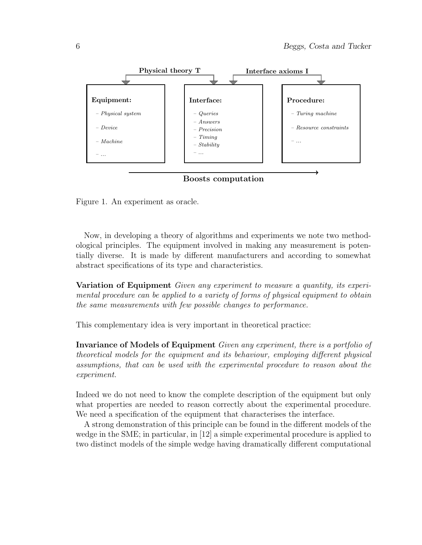

Boosts computation



Now, in developing a theory of algorithms and experiments we note two methodological principles. The equipment involved in making any measurement is potentially diverse. It is made by different manufacturers and according to somewhat abstract specifications of its type and characteristics.

Variation of Equipment Given any experiment to measure a quantity, its experimental procedure can be applied to a variety of forms of physical equipment to obtain the same measurements with few possible changes to performance.

This complementary idea is very important in theoretical practice:

Invariance of Models of Equipment Given any experiment, there is a portfolio of theoretical models for the equipment and its behaviour, employing different physical assumptions, that can be used with the experimental procedure to reason about the experiment.

Indeed we do not need to know the complete description of the equipment but only what properties are needed to reason correctly about the experimental procedure. We need a specification of the equipment that characterises the interface.

A strong demonstration of this principle can be found in the different models of the wedge in the SME; in particular, in [12] a simple experimental procedure is applied to two distinct models of the simple wedge having dramatically different computational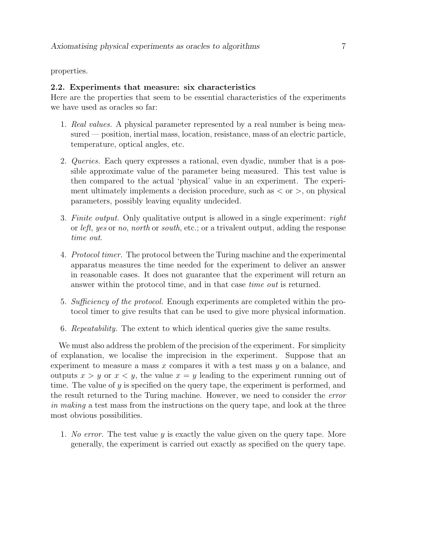properties.

# 2.2. Experiments that measure: six characteristics

Here are the properties that seem to be essential characteristics of the experiments we have used as oracles so far:

- 1. Real values. A physical parameter represented by a real number is being measured — position, inertial mass, location, resistance, mass of an electric particle, temperature, optical angles, etc.
- 2. Queries. Each query expresses a rational, even dyadic, number that is a possible approximate value of the parameter being measured. This test value is then compared to the actual 'physical' value in an experiment. The experiment ultimately implements a decision procedure, such as  $\langle$  or  $\rangle$ , on physical parameters, possibly leaving equality undecided.
- 3. Finite output. Only qualitative output is allowed in a single experiment: right or left, yes or no, north or south, etc.; or a trivalent output, adding the response time out.
- 4. Protocol timer. The protocol between the Turing machine and the experimental apparatus measures the time needed for the experiment to deliver an answer in reasonable cases. It does not guarantee that the experiment will return an answer within the protocol time, and in that case time out is returned.
- 5. Sufficiency of the protocol. Enough experiments are completed within the protocol timer to give results that can be used to give more physical information.
- 6. Repeatability. The extent to which identical queries give the same results.

We must also address the problem of the precision of the experiment. For simplicity of explanation, we localise the imprecision in the experiment. Suppose that an experiment to measure a mass  $x$  compares it with a test mass  $y$  on a balance, and outputs  $x > y$  or  $x < y$ , the value  $x = y$  leading to the experiment running out of time. The value of  $y$  is specified on the query tape, the experiment is performed, and the result returned to the Turing machine. However, we need to consider the error in making a test mass from the instructions on the query tape, and look at the three most obvious possibilities.

1. No error. The test value y is exactly the value given on the query tape. More generally, the experiment is carried out exactly as specified on the query tape.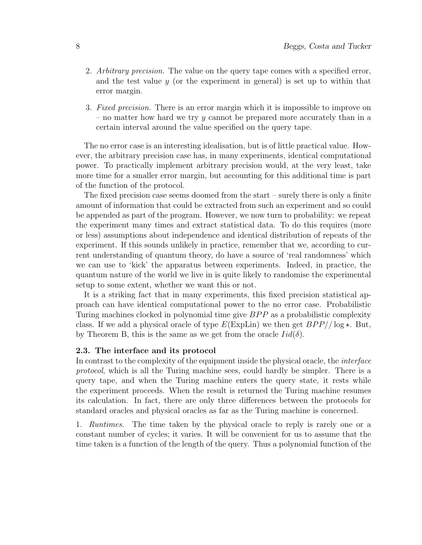- 2. Arbitrary precision. The value on the query tape comes with a specified error, and the test value  $y$  (or the experiment in general) is set up to within that error margin.
- 3. Fixed precision. There is an error margin which it is impossible to improve on – no matter how hard we try y cannot be prepared more accurately than in a certain interval around the value specified on the query tape.

The no error case is an interesting idealisation, but is of little practical value. However, the arbitrary precision case has, in many experiments, identical computational power. To practically implement arbitrary precision would, at the very least, take more time for a smaller error margin, but accounting for this additional time is part of the function of the protocol.

The fixed precision case seems doomed from the start  $-$  surely there is only a finite amount of information that could be extracted from such an experiment and so could be appended as part of the program. However, we now turn to probability: we repeat the experiment many times and extract statistical data. To do this requires (more or less) assumptions about independence and identical distribution of repeats of the experiment. If this sounds unlikely in practice, remember that we, according to current understanding of quantum theory, do have a source of 'real randomness' which we can use to 'kick' the apparatus between experiments. Indeed, in practice, the quantum nature of the world we live in is quite likely to randomise the experimental setup to some extent, whether we want this or not.

It is a striking fact that in many experiments, this fixed precision statistical approach can have identical computational power to the no error case. Probabilistic Turing machines clocked in polynomial time give  $BPP$  as a probabilistic complexity class. If we add a physical oracle of type  $E(\text{Explin})$  we then get  $BPP// \log \star$ . But, by Theorem B, this is the same as we get from the oracle  $Iid(\delta)$ .

# 2.3. The interface and its protocol

In contrast to the complexity of the equipment inside the physical oracle, the *interface* protocol, which is all the Turing machine sees, could hardly be simpler. There is a query tape, and when the Turing machine enters the query state, it rests while the experiment proceeds. When the result is returned the Turing machine resumes its calculation. In fact, there are only three differences between the protocols for standard oracles and physical oracles as far as the Turing machine is concerned.

1. Runtimes. The time taken by the physical oracle to reply is rarely one or a constant number of cycles; it varies. It will be convenient for us to assume that the time taken is a function of the length of the query. Thus a polynomial function of the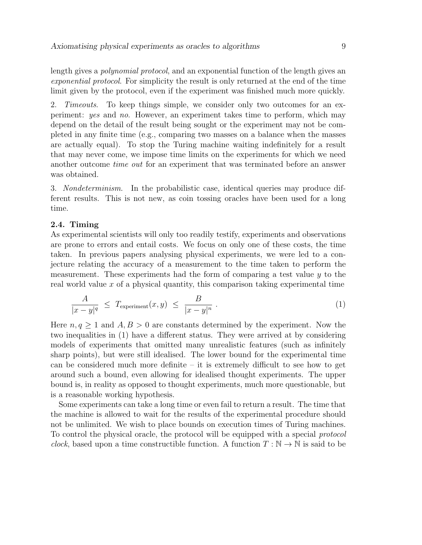length gives a *polynomial protocol*, and an exponential function of the length gives an exponential protocol. For simplicity the result is only returned at the end of the time limit given by the protocol, even if the experiment was finished much more quickly.

2. Timeouts. To keep things simple, we consider only two outcomes for an experiment: yes and no. However, an experiment takes time to perform, which may depend on the detail of the result being sought or the experiment may not be completed in any finite time (e.g., comparing two masses on a balance when the masses are actually equal). To stop the Turing machine waiting indefinitely for a result that may never come, we impose time limits on the experiments for which we need another outcome time out for an experiment that was terminated before an answer was obtained.

3. Nondeterminism. In the probabilistic case, identical queries may produce different results. This is not new, as coin tossing oracles have been used for a long time.

# 2.4. Timing

As experimental scientists will only too readily testify, experiments and observations are prone to errors and entail costs. We focus on only one of these costs, the time taken. In previous papers analysing physical experiments, we were led to a conjecture relating the accuracy of a measurement to the time taken to perform the measurement. These experiments had the form of comparing a test value  $y$  to the real world value  $x$  of a physical quantity, this comparison taking experimental time

$$
\frac{A}{|x-y|^q} \le T_{\text{experiment}}(x,y) \le \frac{B}{|x-y|^n} \,. \tag{1}
$$

Here  $n, q \geq 1$  and  $A, B > 0$  are constants determined by the experiment. Now the two inequalities in (1) have a different status. They were arrived at by considering models of experiments that omitted many unrealistic features (such as infinitely sharp points), but were still idealised. The lower bound for the experimental time can be considered much more definite – it is extremely difficult to see how to get around such a bound, even allowing for idealised thought experiments. The upper bound is, in reality as opposed to thought experiments, much more questionable, but is a reasonable working hypothesis.

Some experiments can take a long time or even fail to return a result. The time that the machine is allowed to wait for the results of the experimental procedure should not be unlimited. We wish to place bounds on execution times of Turing machines. To control the physical oracle, the protocol will be equipped with a special protocol clock, based upon a time constructible function. A function  $T : \mathbb{N} \to \mathbb{N}$  is said to be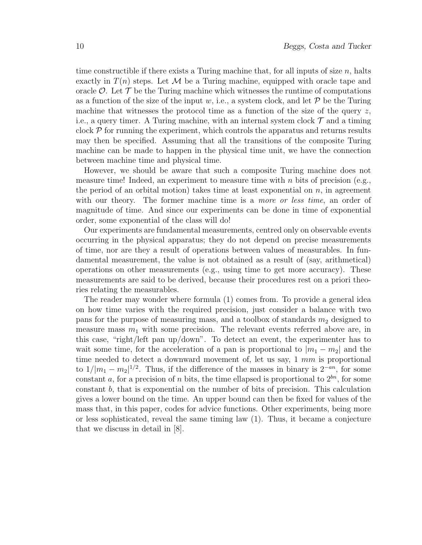time constructible if there exists a Turing machine that, for all inputs of size  $n$ , halts exactly in  $T(n)$  steps. Let M be a Turing machine, equipped with oracle tape and oracle  $\mathcal{O}$ . Let  $\mathcal{T}$  be the Turing machine which witnesses the runtime of computations as a function of the size of the input w, i.e., a system clock, and let  $\mathcal P$  be the Turing machine that witnesses the protocol time as a function of the size of the query  $z$ , i.e., a query timer. A Turing machine, with an internal system clock  $\mathcal T$  and a timing clock  $P$  for running the experiment, which controls the apparatus and returns results may then be specified. Assuming that all the transitions of the composite Turing machine can be made to happen in the physical time unit, we have the connection between machine time and physical time.

However, we should be aware that such a composite Turing machine does not measure time! Indeed, an experiment to measure time with n bits of precision (e.g., the period of an orbital motion) takes time at least exponential on  $n$ , in agreement with our theory. The former machine time is a *more or less time*, an order of magnitude of time. And since our experiments can be done in time of exponential order, some exponential of the class will do!

Our experiments are fundamental measurements, centred only on observable events occurring in the physical apparatus; they do not depend on precise measurements of time, nor are they a result of operations between values of measurables. In fundamental measurement, the value is not obtained as a result of (say, arithmetical) operations on other measurements (e.g., using time to get more accuracy). These measurements are said to be derived, because their procedures rest on a priori theories relating the measurables.

The reader may wonder where formula (1) comes from. To provide a general idea on how time varies with the required precision, just consider a balance with two pans for the purpose of measuring mass, and a toolbox of standards  $m_2$  designed to measure mass  $m_1$  with some precision. The relevant events referred above are, in this case, "right/left pan up/down". To detect an event, the experimenter has to wait some time, for the acceleration of a pan is proportional to  $|m_1 - m_2|$  and the time needed to detect a downward movement of, let us say, 1 mm is proportional to  $1/|m_1 - m_2|^{1/2}$ . Thus, if the difference of the masses in binary is  $2^{-an}$ , for some constant a, for a precision of n bits, the time ellapsed is proportional to  $2^{bn}$ , for some constant b, that is exponential on the number of bits of precision. This calculation gives a lower bound on the time. An upper bound can then be fixed for values of the mass that, in this paper, codes for advice functions. Other experiments, being more or less sophisticated, reveal the same timing law (1). Thus, it became a conjecture that we discuss in detail in [8].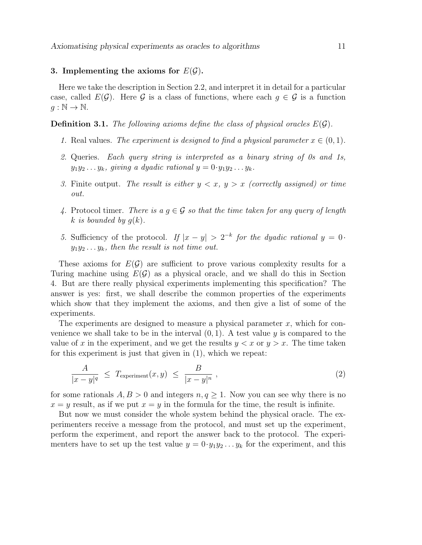# 3. Implementing the axioms for  $E(\mathcal{G})$ .

Here we take the description in Section 2.2, and interpret it in detail for a particular case, called  $E(\mathcal{G})$ . Here  $\mathcal G$  is a class of functions, where each  $g \in \mathcal{G}$  is a function  $q : \mathbb{N} \to \mathbb{N}$ .

**Definition 3.1.** The following axioms define the class of physical oracles  $E(\mathcal{G})$ .

- 1. Real values. The experiment is designed to find a physical parameter  $x \in (0,1)$ .
- 2. Queries. Each query string is interpreted as a binary string of 0s and 1s,  $y_1y_2 \ldots y_k$ , giving a dyadic rational  $y = 0 \cdot y_1y_2 \ldots y_k$ .
- 3. Finite output. The result is either  $y < x$ ,  $y > x$  (correctly assigned) or time out.
- 4. Protocol timer. There is a  $g \in \mathcal{G}$  so that the time taken for any query of length k is bounded by  $q(k)$ .
- 5. Sufficiency of the protocol. If  $|x-y| > 2^{-k}$  for the dyadic rational  $y = 0$ .  $y_1y_2 \ldots y_k$ , then the result is not time out.

These axioms for  $E(G)$  are sufficient to prove various complexity results for a Turing machine using  $E(\mathcal{G})$  as a physical oracle, and we shall do this in Section 4. But are there really physical experiments implementing this specification? The answer is yes: first, we shall describe the common properties of the experiments which show that they implement the axioms, and then give a list of some of the experiments.

The experiments are designed to measure a physical parameter  $x$ , which for convenience we shall take to be in the interval  $(0, 1)$ . A test value y is compared to the value of x in the experiment, and we get the results  $y < x$  or  $y > x$ . The time taken for this experiment is just that given in (1), which we repeat:

$$
\frac{A}{|x-y|^q} \le T_{\text{experiment}}(x,y) \le \frac{B}{|x-y|^n},\tag{2}
$$

for some rationals  $A, B > 0$  and integers  $n, q \ge 1$ . Now you can see why there is no  $x = y$  result, as if we put  $x = y$  in the formula for the time, the result is infinite.

But now we must consider the whole system behind the physical oracle. The experimenters receive a message from the protocol, and must set up the experiment, perform the experiment, and report the answer back to the protocol. The experimenters have to set up the test value  $y = 0 \tcdot y_1 y_2 \ldots y_k$  for the experiment, and this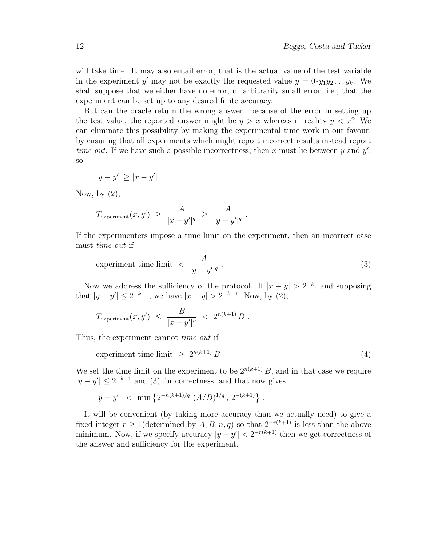will take time. It may also entail error, that is the actual value of the test variable in the experiment y' may not be exactly the requested value  $y = 0 \tcdot y_1 y_2 \ldots y_k$ . We shall suppose that we either have no error, or arbitrarily small error, i.e., that the experiment can be set up to any desired finite accuracy.

But can the oracle return the wrong answer: because of the error in setting up the test value, the reported answer might be  $y > x$  whereas in reality  $y < x$ ? We can eliminate this possibility by making the experimental time work in our favour, by ensuring that all experiments which might report incorrect results instead report time out. If we have such a possible incorrectness, then x must lie between y and  $y'$ , so

$$
|y-y'| \geq |x-y'|.
$$

Now, by  $(2)$ ,

$$
T_{\text{experiment}}(x, y') \ge \frac{A}{|x - y'|^q} \ge \frac{A}{|y - y'|^q}.
$$

If the experimenters impose a time limit on the experiment, then an incorrect case must time out if

experiment time limit 
$$
\frac{A}{|y - y'|^q} \ . \tag{3}
$$

Now we address the sufficiency of the protocol. If  $|x - y| > 2^{-k}$ , and supposing that  $|y - y'| \le 2^{-k-1}$ , we have  $|x - y| > 2^{-k-1}$ . Now, by (2),

$$
T_{\text{experiment}}(x, y') \leq \frac{B}{|x - y'|^n} < 2^{n(k+1)}B.
$$

Thus, the experiment cannot *time out* if

experiment time limit  $\geq 2^{n(k+1)}B$ . (4)

We set the time limit on the experiment to be  $2^{n(k+1)}B$ , and in that case we require  $|y-y'| \leq 2^{-k-1}$  and (3) for correctness, and that now gives

$$
|y-y'| \; < \; \min \left\{ 2^{-n(k+1)/q} \; (A/B)^{1/q} \, , \, 2^{-(k+1)} \right\} \, .
$$

It will be convenient (by taking more accuracy than we actually need) to give a fixed integer  $r > 1$ (determined by A, B, n, q) so that  $2^{-r(k+1)}$  is less than the above minimum. Now, if we specify accuracy  $|y - y'| < 2^{-r(k+1)}$  then we get correctness of the answer and sufficiency for the experiment.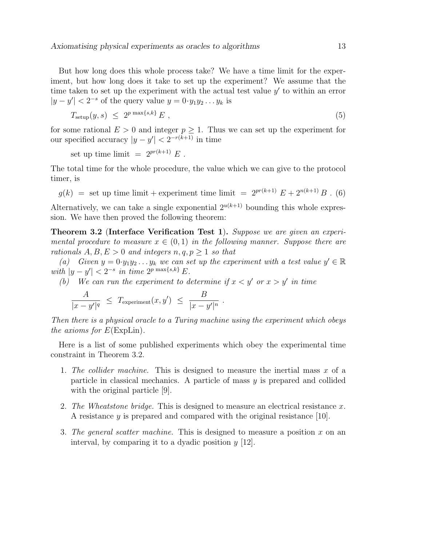But how long does this whole process take? We have a time limit for the experiment, but how long does it take to set up the experiment? We assume that the time taken to set up the experiment with the actual test value  $y'$  to within an error  $|y-y'| < 2^{-s}$  of the query value  $y = 0 \cdot y_1 y_2 \dots y_k$  is

$$
T_{\text{setup}}(y, s) \leq 2^{p \max\{s, k\}} E , \qquad (5)
$$

for some rational  $E > 0$  and integer  $p > 1$ . Thus we can set up the experiment for our specified accuracy  $|y - y'| < 2^{-r(k+1)}$  in time

set up time limit =  $2^{pr(k+1)} E$ .

The total time for the whole procedure, the value which we can give to the protocol timer, is

 $g(k)$  = set up time limit + experiment time limit =  $2^{pr(k+1)} E + 2^{n(k+1)} B$ . (6)

Alternatively, we can take a single exponential  $2^{u(k+1)}$  bounding this whole expression. We have then proved the following theorem:

Theorem 3.2 (Interface Verification Test 1). Suppose we are given an experimental procedure to measure  $x \in (0,1)$  in the following manner. Suppose there are rationals  $A, B, E > 0$  and integers  $n, q, p \geq 1$  so that

(a) Given  $y = 0 \tcdot y_1 y_2 \ldots y_k$  we can set up the experiment with a test value  $y' \in \mathbb{R}$ with  $|y - y'| < 2^{-s}$  in time  $2^{p \max\{s,k\}} E$ .

(b) We can run the experiment to determine if  $x < y'$  or  $x > y'$  in time

$$
\frac{A}{|x-y'|^q} \leq T_{\text{experiment}}(x,y') \leq \frac{B}{|x-y'|^n}
$$

Then there is a physical oracle to a Turing machine using the experiment which obeys the axioms for E(ExpLin).

.

Here is a list of some published experiments which obey the experimental time constraint in Theorem 3.2.

- 1. The collider machine. This is designed to measure the inertial mass  $x$  of a particle in classical mechanics. A particle of mass  $y$  is prepared and collided with the original particle [9].
- 2. The Wheatstone bridge. This is designed to measure an electrical resistance  $x$ . A resistance y is prepared and compared with the original resistance [10].
- 3. The general scatter machine. This is designed to measure a position  $x$  on an interval, by comparing it to a dyadic position  $y$  [12].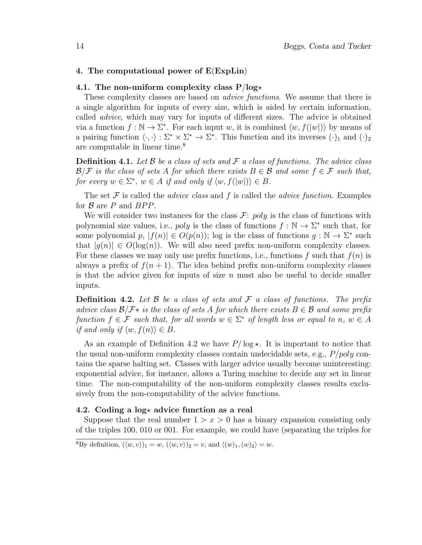### 4. The computational power of E(ExpLin)

# 4.1. The non-uniform complexity class  $P/\log \star$

These complexity classes are based on *advice functions*. We assume that there is a single algorithm for inputs of every size, which is aided by certain information, called advice, which may vary for inputs of different sizes. The advice is obtained via a function  $f : \mathbb{N} \to \Sigma^*$ . For each input w, it is combined  $\langle w, f(|w|) \rangle$  by means of a pairing function  $\langle \cdot, \cdot \rangle : \Sigma^* \times \Sigma^* \to \Sigma^*$ . This function and its inverses  $(\cdot)_1$  and  $(\cdot)_2$ are computable in linear time.<sup>8</sup>

**Definition 4.1.** Let B be a class of sets and F a class of functions. The advice class  $\mathcal{B}/\mathcal{F}$  is the class of sets A for which there exists  $B \in \mathcal{B}$  and some  $f \in \mathcal{F}$  such that, for every  $w \in \Sigma^*$ ,  $w \in A$  if and only if  $\langle w, f(|w|) \rangle \in B$ .

The set  $\mathcal F$  is called the *advice class* and  $f$  is called the *advice function*. Examples for  $\beta$  are P and  $BPP$ .

We will consider two instances for the class  $\mathcal{F}$ : poly is the class of functions with polynomial size values, i.e., *poly* is the class of functions  $f : \mathbb{N} \to \Sigma^*$  such that, for some polynomial  $p, |f(n)| \in O(p(n))$ ; log is the class of functions  $g : \mathbb{N} \to \Sigma^*$  such that  $|g(n)| \in O(\log(n))$ . We will also need prefix non-uniform complexity classes. For these classes we may only use prefix functions, i.e., functions f such that  $f(n)$  is always a prefix of  $f(n+1)$ . The idea behind prefix non-uniform complexity classes is that the advice given for inputs of size  $n$  must also be useful to decide smaller inputs.

**Definition 4.2.** Let  $\beta$  be a class of sets and  $\mathcal{F}$  a class of functions. The prefix advice class  $\mathcal{B}/\mathcal{F}$ <sup>\*</sup> is the class of sets A for which there exists  $B \in \mathcal{B}$  and some prefix function  $f \in \mathcal{F}$  such that, for all words  $w \in \Sigma^*$  of length less or equal to  $n, w \in A$ if and only if  $\langle w, f(n) \rangle \in B$ .

As an example of Definition 4.2 we have  $P/\log \star$ . It is important to notice that the usual non-uniform complexity classes contain undecidable sets, e.g., P/poly contains the sparse halting set. Classes with larger advice usually become uninteresting: exponential advice, for instance, allows a Turing machine to decide any set in linear time. The non-computability of the non-uniform complexity classes results exclusively from the non-computability of the advice functions.

#### 4.2. Coding a  $log*$  advice function as a real

Suppose that the real number  $1 > x > 0$  has a binary expansion consisting only of the triples 100, 010 or 001. For example, we could have (separating the triples for

<sup>&</sup>lt;sup>8</sup>By definition,  $(\langle w, v \rangle)_1 = w$ ,  $(\langle w, v \rangle)_2 = v$ , and  $\langle (w)_1, (w)_2 \rangle = w$ .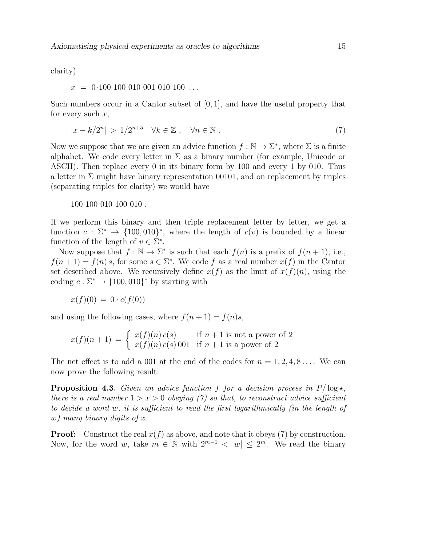clarity)

$$
x = 0.100\ 100\ 010\ 001\ 010\ 100\ \ldots
$$

Such numbers occur in a Cantor subset of  $[0, 1]$ , and have the useful property that for every such  $x$ ,

$$
|x - k/2^n| > 1/2^{n+5} \quad \forall k \in \mathbb{Z}, \quad \forall n \in \mathbb{N} \,.
$$
 (7)

Now we suppose that we are given an advice function  $f : \mathbb{N} \to \Sigma^*$ , where  $\Sigma$  is a finite alphabet. We code every letter in  $\Sigma$  as a binary number (for example, Unicode or ASCII). Then replace every 0 in its binary form by 100 and every 1 by 010. Thus a letter in  $\Sigma$  might have binary representation 00101, and on replacement by triples (separating triples for clarity) we would have

100 100 010 100 010 .

If we perform this binary and then triple replacement letter by letter, we get a function  $c: \Sigma^* \to \{100, 010\}^*$ , where the length of  $c(v)$  is bounded by a linear function of the length of  $v \in \Sigma^*$ .

Now suppose that  $f : \mathbb{N} \to \Sigma^*$  is such that each  $f(n)$  is a prefix of  $f(n+1)$ , i.e.,  $f(n+1) = f(n) s$ , for some  $s \in \Sigma^*$ . We code f as a real number  $x(f)$  in the Cantor set described above. We recursively define  $x(f)$  as the limit of  $x(f)(n)$ , using the coding  $c: \Sigma^* \to \{100, 010\}^*$  by starting with

$$
x(f)(0) = 0 \cdot c(f(0))
$$

and using the following cases, where  $f(n + 1) = f(n)s$ ,

$$
x(f)(n+1) = \begin{cases} x(f)(n) c(s) & \text{if } n+1 \text{ is not a power of 2} \\ x(f)(n) c(s) 001 & \text{if } n+1 \text{ is a power of 2} \end{cases}
$$

The net effect is to add a 001 at the end of the codes for  $n = 1, 2, 4, 8, \ldots$ . We can now prove the following result:

**Proposition 4.3.** Given an advice function f for a decision process in  $P/\log \star$ , there is a real number  $1 > x > 0$  obeying (7) so that, to reconstruct advice sufficient to decide a word w, it is sufficient to read the first logarithmically (in the length of w) many binary digits of x.

**Proof:** Construct the real  $x(f)$  as above, and note that it obeys (7) by construction. Now, for the word w, take  $m \in \mathbb{N}$  with  $2^{m-1} < |w| \leq 2^m$ . We read the binary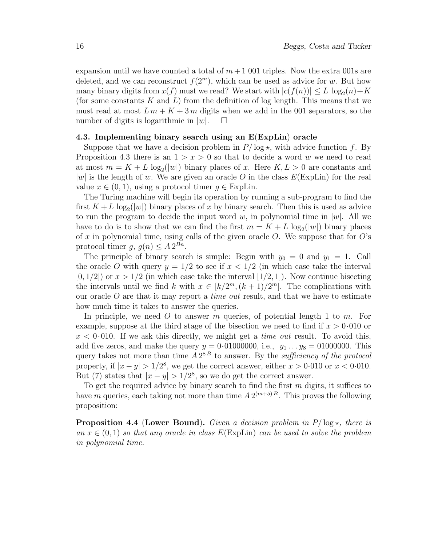expansion until we have counted a total of  $m+1$  001 triples. Now the extra 001s are deleted, and we can reconstruct  $f(2^m)$ , which can be used as advice for w. But how many binary digits from  $x(f)$  must we read? We start with  $|c(f(n))| \leq L \log_2(n) + K$ (for some constants K and L) from the definition of log length. This means that we must read at most  $L m + K + 3 m$  digits when we add in the 001 separators, so the number of digits is logarithmic in  $|w|$ .  $\Box$ 

# 4.3. Implementing binary search using an E(ExpLin) oracle

Suppose that we have a decision problem in  $P/\log \star$ , with advice function f. By Proposition 4.3 there is an  $1 > x > 0$  so that to decide a word w we need to read at most  $m = K + L \log_2(|w|)$  binary places of x. Here  $K, L > 0$  are constants and |w| is the length of w. We are given an oracle O in the class  $E(\text{ExpLin})$  for the real value  $x \in (0,1)$ , using a protocol timer  $q \in \text{ExpLin}$ .

The Turing machine will begin its operation by running a sub-program to find the first  $K + L \log_2(|w|)$  binary places of x by binary search. Then this is used as advice to run the program to decide the input word w, in polynomial time in  $|w|$ . All we have to do is to show that we can find the first  $m = K + L \log_2(|w|)$  binary places of x in polynomial time, using calls of the given oracle  $O$ . We suppose that for  $O$ 's protocol timer g,  $g(n) \leq A 2^{Bn}$ .

The principle of binary search is simple: Begin with  $y_0 = 0$  and  $y_1 = 1$ . Call the oracle O with query  $y = 1/2$  to see if  $x < 1/2$  (in which case take the interval  $[0, 1/2]$  or  $x > 1/2$  (in which case take the interval  $[1/2, 1]$ ). Now continue bisecting the intervals until we find k with  $x \in [k/2^m, (k+1)/2^m]$ . The complications with our oracle  $O$  are that it may report a *time out* result, and that we have to estimate how much time it takes to answer the queries.

In principle, we need O to answer m queries, of potential length 1 to m. For example, suppose at the third stage of the bisection we need to find if  $x > 0.010$  or  $x < 0.010$ . If we ask this directly, we might get a *time out* result. To avoid this, add five zeros, and make the query  $y = 0.01000000$ , i.e.,  $y_1 \ldots y_8 = 01000000$ . This query takes not more than time  $A 2^{8B}$  to answer. By the *sufficiency of the protocol* property, if  $|x-y| > 1/2^8$ , we get the correct answer, either  $x > 0.010$  or  $x < 0.010$ . But (7) states that  $|x - y| > 1/2^8$ , so we do get the correct answer.

To get the required advice by binary search to find the first  $m$  digits, it suffices to have m queries, each taking not more than time  $A 2^{(m+5)B}$ . This proves the following proposition:

**Proposition 4.4 (Lower Bound).** Given a decision problem in  $P/\log \star$ , there is an  $x \in (0,1)$  so that any oracle in class  $E(\text{Explin})$  can be used to solve the problem in polynomial time.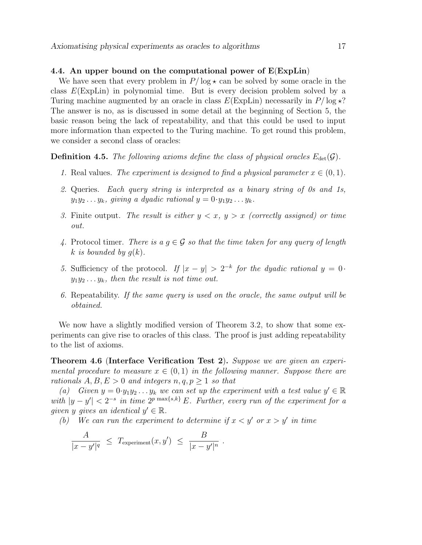### 4.4. An upper bound on the computational power of  $E(\mathrm{ExpLin})$

We have seen that every problem in  $P/\log \star$  can be solved by some oracle in the class  $E(\text{ExpLin})$  in polynomial time. But is every decision problem solved by a Turing machine augmented by an oracle in class  $E(\text{Explin})$  necessarily in  $P/\log \star?$ The answer is no, as is discussed in some detail at the beginning of Section 5, the basic reason being the lack of repeatability, and that this could be used to input more information than expected to the Turing machine. To get round this problem, we consider a second class of oracles:

**Definition 4.5.** The following axioms define the class of physical oracles  $E_{\text{det}}(\mathcal{G})$ .

- 1. Real values. The experiment is designed to find a physical parameter  $x \in (0,1)$ .
- 2. Queries. Each query string is interpreted as a binary string of 0s and 1s,  $y_1y_2 \tldots y_k$ , giving a dyadic rational  $y = 0 \tcdot y_1y_2 \tldots y_k$ .
- 3. Finite output. The result is either  $y < x$ ,  $y > x$  (correctly assigned) or time out.
- 4. Protocol timer. There is a  $q \in \mathcal{G}$  so that the time taken for any query of length k is bounded by  $q(k)$ .
- 5. Sufficiency of the protocol. If  $|x-y| > 2^{-k}$  for the dyadic rational  $y = 0$ .  $y_1y_2 \ldots y_k$ , then the result is not time out.
- 6. Repeatability. If the same query is used on the oracle, the same output will be obtained.

We now have a slightly modified version of Theorem 3.2, to show that some experiments can give rise to oracles of this class. The proof is just adding repeatability to the list of axioms.

**Theorem 4.6 (Interface Verification Test 2).** Suppose we are given an experimental procedure to measure  $x \in (0,1)$  in the following manner. Suppose there are rationals  $A, B, E > 0$  and integers  $n, q, p \geq 1$  so that

(a) Given  $y = 0 \tcdot y_1 y_2 ... y_k$  we can set up the experiment with a test value  $y' \in \mathbb{R}$ with  $|y-y'| < 2^{-s}$  in time  $2^{p \max\{s,k\}} E$ . Further, every run of the experiment for a given y gives an identical  $y' \in \mathbb{R}$ .

(b) We can run the experiment to determine if  $x < y'$  or  $x > y'$  in time

$$
\frac{A}{|x-y'|^q} \leq T_{\text{experiment}}(x,y') \leq \frac{B}{|x-y'|^n}.
$$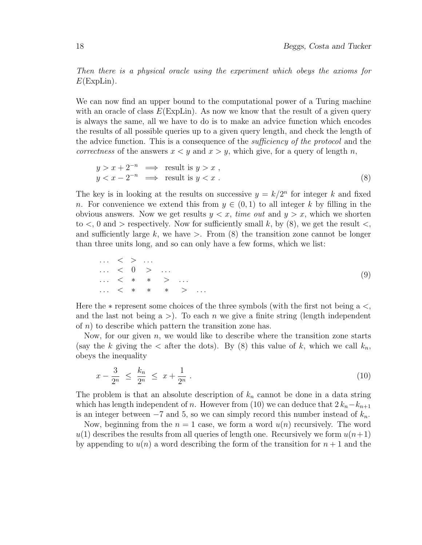Then there is a physical oracle using the experiment which obeys the axioms for  $E(\text{ExpLin}).$ 

We can now find an upper bound to the computational power of a Turing machine with an oracle of class  $E(\text{Explin})$ . As now we know that the result of a given query is always the same, all we have to do is to make an advice function which encodes the results of all possible queries up to a given query length, and check the length of the advice function. This is a consequence of the *sufficiency of the protocol* and the correctness of the answers  $x < y$  and  $x > y$ , which give, for a query of length n,

$$
y > x + 2^{-n} \implies \text{result is } y > x ,
$$
  
\n
$$
y < x - 2^{-n} \implies \text{result is } y < x .
$$
 (8)

The key is in looking at the results on successive  $y = k/2^n$  for integer k and fixed n. For convenience we extend this from  $y \in (0,1)$  to all integer k by filling in the obvious answers. Now we get results  $y < x$ , time out and  $y > x$ , which we shorten to  $\lt$ , 0 and  $>$  respectively. Now for sufficiently small k, by (8), we get the result  $\lt$ , and sufficiently large k, we have  $\geq$ . From (8) the transition zone cannot be longer than three units long, and so can only have a few forms, which we list:

$$
\begin{array}{lcl}\n... < > & \dots \\
... < & 0 > & \dots \\
... < & * & * > & \dots \\
... < & * & * & * & & \dots\n\end{array} \tag{9}
$$

Here the  $*$  represent some choices of the three symbols (with the first not being a  $\lt$ , and the last not being  $a >$ ). To each n we give a finite string (length independent of  $n$ ) to describe which pattern the transition zone has.

Now, for our given  $n$ , we would like to describe where the transition zone starts (say the k giving the  $\lt$  after the dots). By (8) this value of k, which we call  $k_n$ , obeys the inequality

$$
x - \frac{3}{2^n} \le \frac{k_n}{2^n} \le x + \frac{1}{2^n} \,. \tag{10}
$$

The problem is that an absolute description of  $k_n$  cannot be done in a data string which has length independent of n. However from (10) we can deduce that  $2k_n-k_{n+1}$ is an integer between  $-7$  and 5, so we can simply record this number instead of  $k_n$ .

Now, beginning from the  $n = 1$  case, we form a word  $u(n)$  recursively. The word  $u(1)$  describes the results from all queries of length one. Recursively we form  $u(n+1)$ by appending to  $u(n)$  a word describing the form of the transition for  $n+1$  and the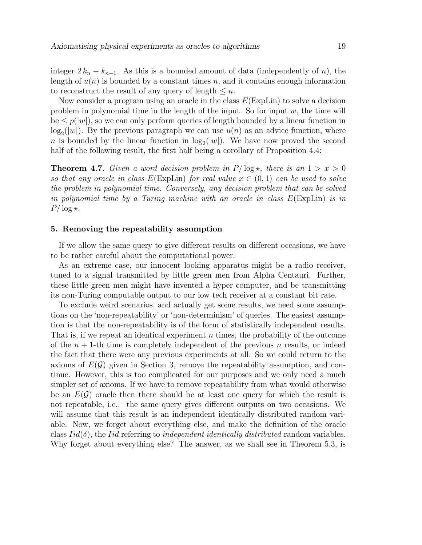integer  $2 k_n - k_{n+1}$ . As this is a bounded amount of data (independently of n), the length of  $u(n)$  is bounded by a constant times n, and it contains enough information to reconstruct the result of any query of length  $\leq n$ .

Now consider a program using an oracle in the class  $E(\text{Explin})$  to solve a decision problem in polynomial time in the length of the input. So for input  $w$ , the time will  $be \leq p(|w|)$ , so we can only perform queries of length bounded by a linear function in  $log_2(|w|)$ . By the previous paragraph we can use  $u(n)$  as an advice function, where *n* is bounded by the linear function in  $log_2(|w|)$ . We have now proved the second half of the following result, the first half being a corollary of Proposition 4.4:

**Theorem 4.7.** Given a word decision problem in  $P/\log \star$ , there is an  $1 > x > 0$ so that any oracle in class  $E(\text{Explin})$  for real value  $x \in (0,1)$  can be used to solve the problem in polynomial time. Conversely, any decision problem that can be solved in polynomial time by a Turing machine with an oracle in class  $E(\text{Explin})$  is in  $P/\log \star$ .

### 5. Removing the repeatability assumption

If we allow the same query to give different results on different occasions, we have to be rather careful about the computational power.

As an extreme case, our innocent looking apparatus might be a radio receiver, tuned to a signal transmitted by little green men from Alpha Centauri. Further, these little green men might have invented a hyper computer, and be transmitting its non-Turing computable output to our low tech receiver at a constant bit rate.

To exclude weird scenarios, and actually get some results, we need some assumptions on the 'non-repeatability' or 'non-determinism' of queries. The easiest assumption is that the non-repeatability is of the form of statistically independent results. That is, if we repeat an identical experiment  $n$  times, the probability of the outcome of the  $n + 1$ -th time is completely independent of the previous n results, or indeed the fact that there were any previous experiments at all. So we could return to the axioms of  $E(G)$  given in Section 3, remove the repeatability assumption, and continue. However, this is too complicated for our purposes and we only need a much simpler set of axioms. If we have to remove repeatability from what would otherwise be an  $E(G)$  oracle then there should be at least one query for which the result is not repeatable, i.e., the same query gives different outputs on two occasions. We will assume that this result is an independent identically distributed random variable. Now, we forget about everything else, and make the definition of the oracle class  $Iid(\delta)$ , the Iid referring to independent identically distributed random variables. Why forget about everything else? The answer, as we shall see in Theorem 5.3, is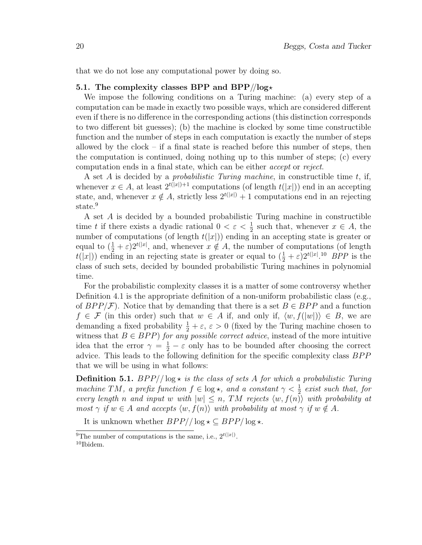that we do not lose any computational power by doing so.

# 5.1. The complexity classes BPP and BPP//log $\star$

We impose the following conditions on a Turing machine: (a) every step of a computation can be made in exactly two possible ways, which are considered different even if there is no difference in the corresponding actions (this distinction corresponds to two different bit guesses); (b) the machine is clocked by some time constructible function and the number of steps in each computation is exactly the number of steps allowed by the clock – if a final state is reached before this number of steps, then the computation is continued, doing nothing up to this number of steps; (c) every computation ends in a final state, which can be either accept or reject.

A set A is decided by a *probabilistic Turing machine*, in constructible time  $t$ , if, whenever  $x \in A$ , at least  $2^{t(|x|)+1}$  computations (of length  $t(|x|)$ ) end in an accepting state, and, whenever  $x \notin A$ , strictly less  $2^{t(|x|)} + 1$  computations end in an rejecting state.<sup>9</sup>

A set A is decided by a bounded probabilistic Turing machine in constructible time t if there exists a dyadic rational  $0 < \varepsilon < \frac{1}{2}$  such that, whenever  $x \in A$ , the number of computations (of length  $t(|x|)$ ) ending in an accepting state is greater or equal to  $(\frac{1}{2} + \varepsilon)2^{t(|x|)},$  and, whenever  $x \notin A$ , the number of computations (of length  $t(|x|)$  ending in an rejecting state is greater or equal to  $(\frac{1}{2} + \varepsilon)2^{t(|x|, 10}$  BPP is the class of such sets, decided by bounded probabilistic Turing machines in polynomial time.

For the probabilistic complexity classes it is a matter of some controversy whether Definition 4.1 is the appropriate definition of a non-uniform probabilistic class (e.g., of  $BPP/\mathcal{F}$ ). Notice that by demanding that there is a set  $B \in BPP$  and a function  $f \in \mathcal{F}$  (in this order) such that  $w \in A$  if, and only if,  $\langle w, f(|w|) \rangle \in B$ , we are demanding a fixed probability  $\frac{1}{2} + \varepsilon$ ,  $\varepsilon > 0$  (fixed by the Turing machine chosen to witness that  $B \in BPP$ ) for any possible correct advice, instead of the more intuitive idea that the error  $\gamma = \frac{1}{2} - \varepsilon$  only has to be bounded after choosing the correct advice. This leads to the following definition for the specific complexity class  $BPP$ that we will be using in what follows:

**Definition 5.1.** BPP// $\log \star$  is the class of sets A for which a probabilistic Turing machine TM, a prefix function  $f \in \log \star$ , and a constant  $\gamma < \frac{1}{2}$  exist such that, for every length n and input w with  $|w| \leq n$ , TM rejects  $\langle w, f(n) \rangle$  with probability at most  $\gamma$  if  $w \in A$  and accepts  $\langle w, f(n) \rangle$  with probability at most  $\gamma$  if  $w \notin A$ .

It is unknown whether  $BPP// \log x \subseteq BPP/\log x$ .

<sup>&</sup>lt;sup>9</sup>The number of computations is the same, i.e.,  $2^{t(|x|)}$ .  $10$ Ibidem.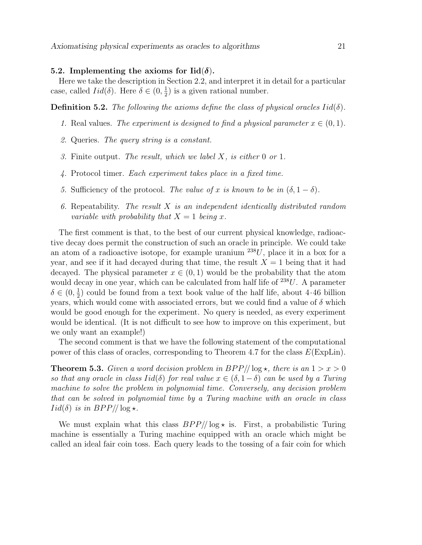### 5.2. Implementing the axioms for  $\text{Id}(\delta)$ .

Here we take the description in Section 2.2, and interpret it in detail for a particular case, called  $Iid(\delta)$ . Here  $\delta \in (0, \frac{1}{2})$  $(\frac{1}{2})$  is a given rational number.

**Definition 5.2.** The following the axioms define the class of physical oracles  $Id(\delta)$ .

- 1. Real values. The experiment is designed to find a physical parameter  $x \in (0,1)$ .
- 2. Queries. The query string is a constant.
- 3. Finite output. The result, which we label  $X$ , is either 0 or 1.
- 4. Protocol timer. Each experiment takes place in a fixed time.
- 5. Sufficiency of the protocol. The value of x is known to be in  $(\delta, 1-\delta)$ .
- 6. Repeatability. The result  $X$  is an independent identically distributed random variable with probability that  $X = 1$  being x.

The first comment is that, to the best of our current physical knowledge, radioactive decay does permit the construction of such an oracle in principle. We could take an atom of a radioactive isotope, for example uranium  $^{238}U$ , place it in a box for a year, and see if it had decayed during that time, the result  $X = 1$  being that it had decayed. The physical parameter  $x \in (0,1)$  would be the probability that the atom would decay in one year, which can be calculated from half life of  $^{238}U$ . A parameter  $\delta \in (0, \frac{1}{2})$  $\frac{1}{2}$ ) could be found from a text book value of the half life, about 4.46 billion years, which would come with associated errors, but we could find a value of  $\delta$  which would be good enough for the experiment. No query is needed, as every experiment would be identical. (It is not difficult to see how to improve on this experiment, but we only want an example!)

The second comment is that we have the following statement of the computational power of this class of oracles, corresponding to Theorem 4.7 for the class  $E(\mathrm{ExpLin})$ .

**Theorem 5.3.** Given a word decision problem in  $BPP/|\log \star$ , there is an  $1 > x > 0$ so that any oracle in class Iid(δ) for real value  $x \in (\delta, 1-\delta)$  can be used by a Turing machine to solve the problem in polynomial time. Conversely, any decision problem that can be solved in polynomial time by a Turing machine with an oracle in class  $Iid(\delta)$  is in  $BPP/\!/\log\star$ .

We must explain what this class  $BPP/\prime$  log  $\star$  is. First, a probabilistic Turing machine is essentially a Turing machine equipped with an oracle which might be called an ideal fair coin toss. Each query leads to the tossing of a fair coin for which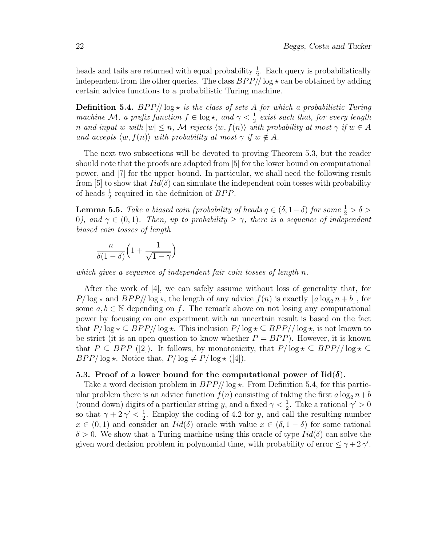heads and tails are returned with equal probability  $\frac{1}{2}$ . Each query is probabilistically independent from the other queries. The class  $BPP/\sqrt{\log \star}$  can be obtained by adding certain advice functions to a probabilistic Turing machine.

**Definition 5.4.** BPP/ $\log \star$  is the class of sets A for which a probabilistic Turing machine M, a prefix function  $f \in \log \star$ , and  $\gamma < \frac{1}{2}$  exist such that, for every length n and input w with  $|w| \leq n$ , M rejects  $\langle w, f(n) \rangle$  with probability at most  $\gamma$  if  $w \in A$ and accepts  $\langle w, f(n) \rangle$  with probability at most  $\gamma$  if  $w \notin A$ .

The next two subsections will be devoted to proving Theorem 5.3, but the reader should note that the proofs are adapted from [5] for the lower bound on computational power, and [7] for the upper bound. In particular, we shall need the following result from [5] to show that  $Iid(\delta)$  can simulate the independent coin tosses with probability of heads  $\frac{1}{2}$  required in the definition of  $BPP$ .

**Lemma 5.5.** Take a biased coin (probability of heads  $q \in (\delta, 1-\delta)$  for some  $\frac{1}{2} > \delta >$ 0), and  $\gamma \in (0,1)$ . Then, up to probability  $\geq \gamma$ , there is a sequence of independent biased coin tosses of length

$$
\frac{n}{\delta(1-\delta)}\Big(1+\frac{1}{\sqrt{1-\gamma}}\Big)
$$

which gives a sequence of independent fair coin tosses of length n.

After the work of [4], we can safely assume without loss of generality that, for  $P/\log \star$  and  $BPP/\log \star$ , the length of any advice  $f(n)$  is exactly  $|a \log_2 n + b|$ , for some  $a, b \in \mathbb{N}$  depending on f. The remark above on not losing any computational power by focusing on one experiment with an uncertain result is based on the fact that  $P/\log \star \subseteq BPP/\log \star$ . This inclusion  $P/\log \star \subseteq BPP/\log \star$ , is not known to be strict (it is an open question to know whether  $P = BPP$ ). However, it is known that  $P \subseteq BPP$  ([2]). It follows, by monotonicity, that  $P/\log \star \subseteq BPP//\log \star \subseteq$  $BPP/\log \star$ . Notice that,  $P/\log \neq P/\log \star$  ([4]).

# 5.3. Proof of a lower bound for the computational power of  $\text{lid}(\delta)$ .

Take a word decision problem in  $BPP/\prime$  log  $\star$ . From Definition 5.4, for this particular problem there is an advice function  $f(n)$  consisting of taking the first  $a \log_2 n+b$ (round down) digits of a particular string y, and a fixed  $\gamma < \frac{1}{2}$ . Take a rational  $\gamma' > 0$ so that  $\gamma + 2\gamma' < \frac{1}{2}$  $\frac{1}{2}$ . Employ the coding of 4.2 for y, and call the resulting number  $x \in (0,1)$  and consider an  $Iid(\delta)$  oracle with value  $x \in (\delta,1-\delta)$  for some rational  $\delta > 0$ . We show that a Turing machine using this oracle of type  $Iid(\delta)$  can solve the given word decision problem in polynomial time, with probability of error  $\leq \gamma + 2\gamma'$ .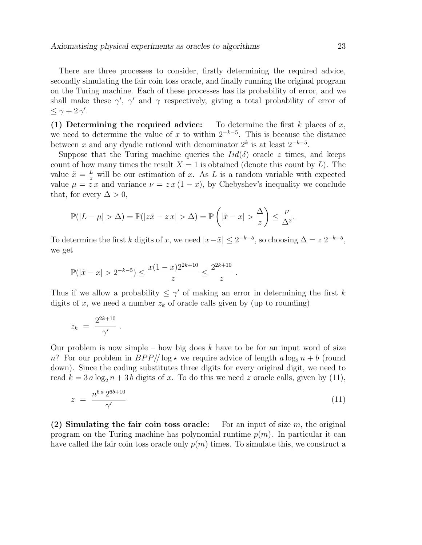There are three processes to consider, firstly determining the required advice, secondly simulating the fair coin toss oracle, and finally running the original program on the Turing machine. Each of these processes has its probability of error, and we shall make these  $\gamma'$ ,  $\gamma'$  and  $\gamma$  respectively, giving a total probability of error of  $\leq \gamma + 2 \gamma'$ .

(1) Determining the required advice: To determine the first  $k$  places of  $x$ , we need to determine the value of x to within  $2^{-k-5}$ . This is because the distance between x and any dyadic rational with denominator  $2^k$  is at least  $2^{-k-5}$ .

Suppose that the Turing machine queries the  $Iid(\delta)$  oracle z times, and keeps count of how many times the result  $X = 1$  is obtained (denote this count by L). The value  $\tilde{x} = \frac{L}{z}$  will be our estimation of x. As L is a random variable with expected value  $\mu = \tilde{z} x$  and variance  $\nu = z x (1 - x)$ , by Chebyshev's inequality we conclude that, for every  $\Delta > 0$ ,

$$
\mathbb{P}(|L - \mu| > \Delta) = \mathbb{P}(|z\tilde{x} - zx| > \Delta) = \mathbb{P}\left(|\tilde{x} - x| > \frac{\Delta}{z}\right) \le \frac{\nu}{\Delta^2}.
$$

To determine the first k digits of x, we need  $|x-\tilde{x}| \leq 2^{-k-5}$ , so choosing  $\Delta = z 2^{-k-5}$ , we get

$$
\mathbb{P}(|\tilde{x} - x| > 2^{-k-5}) \le \frac{x(1-x)2^{2k+10}}{z} \le \frac{2^{2k+10}}{z}.
$$

Thus if we allow a probability  $\leq \gamma'$  of making an error in determining the first k digits of x, we need a number  $z_k$  of oracle calls given by (up to rounding)

$$
z_k = \frac{2^{2k+10}}{\gamma'}.
$$

Our problem is now simple – how big does k have to be for an input word of size n? For our problem in  $BPP/\sqrt{\log x}$  we require advice of length  $a \log_2 n + b$  (round down). Since the coding substitutes three digits for every original digit, we need to read  $k = 3 a \log_2 n + 3 b$  digits of x. To do this we need z oracle calls, given by (11),

$$
z = \frac{n^{6a} 2^{6b+10}}{\gamma'}
$$
\n
$$
(11)
$$

(2) Simulating the fair coin toss oracle: For an input of size  $m$ , the original program on the Turing machine has polynomial runtime  $p(m)$ . In particular it can have called the fair coin toss oracle only  $p(m)$  times. To simulate this, we construct a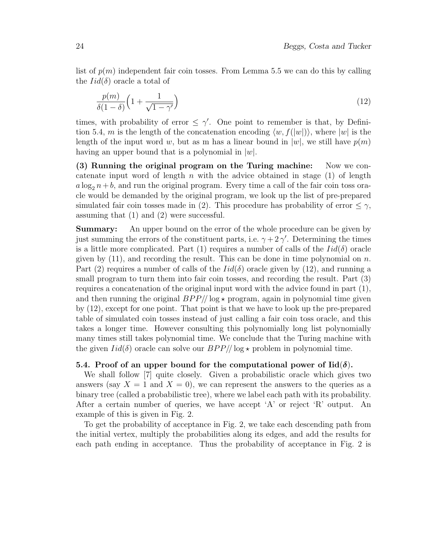list of  $p(m)$  independent fair coin tosses. From Lemma 5.5 we can do this by calling the  $Iid(\delta)$  oracle a total of

$$
\frac{p(m)}{\delta(1-\delta)}\left(1+\frac{1}{\sqrt{1-\gamma'}}\right) \tag{12}
$$

times, with probability of error  $\leq \gamma'$ . One point to remember is that, by Definition 5.4, m is the length of the concatenation encoding  $\langle w, f(|w|) \rangle$ , where  $|w|$  is the length of the input word w, but as m has a linear bound in  $|w|$ , we still have  $p(m)$ having an upper bound that is a polynomial in  $|w|$ .

(3) Running the original program on the Turing machine: Now we concatenate input word of length n with the advice obtained in stage  $(1)$  of length  $a \log_2 n+b$ , and run the original program. Every time a call of the fair coin toss oracle would be demanded by the original program, we look up the list of pre-prepared simulated fair coin tosses made in (2). This procedure has probability of error  $\leq \gamma$ , assuming that (1) and (2) were successful.

**Summary:** An upper bound on the error of the whole procedure can be given by just summing the errors of the constituent parts, i.e.  $\gamma + 2\gamma'$ . Determining the times is a little more complicated. Part (1) requires a number of calls of the  $Iid(\delta)$  oracle given by  $(11)$ , and recording the result. This can be done in time polynomial on n. Part (2) requires a number of calls of the  $Iid(\delta)$  oracle given by (12), and running a small program to turn them into fair coin tosses, and recording the result. Part (3) requires a concatenation of the original input word with the advice found in part (1), and then running the original  $BPP//\log \star$  program, again in polynomial time given by (12), except for one point. That point is that we have to look up the pre-prepared table of simulated coin tosses instead of just calling a fair coin toss oracle, and this takes a longer time. However consulting this polynomially long list polynomially many times still takes polynomial time. We conclude that the Turing machine with the given  $Iid(\delta)$  oracle can solve our  $BPP/\log \star$  problem in polynomial time.

# 5.4. Proof of an upper bound for the computational power of  $\text{Id}(\delta)$ .

We shall follow [7] quite closely. Given a probabilistic oracle which gives two answers (say  $X = 1$  and  $X = 0$ ), we can represent the answers to the queries as a binary tree (called a probabilistic tree), where we label each path with its probability. After a certain number of queries, we have accept 'A' or reject 'R' output. An example of this is given in Fig. 2.

To get the probability of acceptance in Fig. 2, we take each descending path from the initial vertex, multiply the probabilities along its edges, and add the results for each path ending in acceptance. Thus the probability of acceptance in Fig. 2 is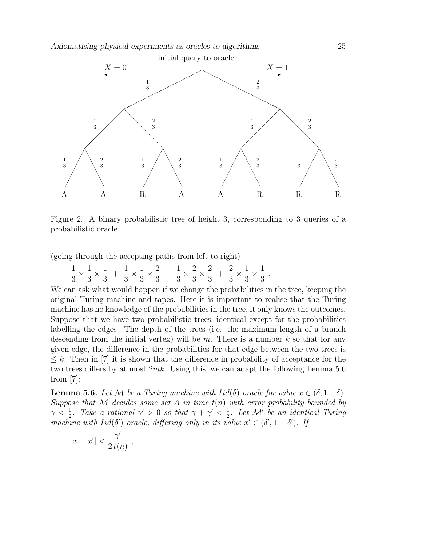Axiomatising physical experiments as oracles to algorithms 25



Figure 2. A binary probabilistic tree of height 3, corresponding to 3 queries of a probabilistic oracle

(going through the accepting paths from left to right)

1 3  $\times \frac{1}{2}$ 3  $\times \frac{1}{2}$ 3  $+$ 1 3  $\times \frac{1}{2}$ 3  $\times \frac{2}{2}$ 3  $+$ 1 3  $\times \frac{2}{5}$ 3  $\times \frac{2}{5}$ 3  $+$ 2 3  $\times \frac{1}{2}$ 3  $\times \frac{1}{2}$ 3 .

We can ask what would happen if we change the probabilities in the tree, keeping the original Turing machine and tapes. Here it is important to realise that the Turing machine has no knowledge of the probabilities in the tree, it only knows the outcomes. Suppose that we have two probabilistic trees, identical except for the probabilities labelling the edges. The depth of the trees (i.e. the maximum length of a branch descending from the initial vertex) will be m. There is a number  $k$  so that for any given edge, the difference in the probabilities for that edge between the two trees is  $\leq k$ . Then in [7] it is shown that the difference in probability of acceptance for the two trees differs by at most  $2mk$ . Using this, we can adapt the following Lemma 5.6 from [7]:

**Lemma 5.6.** Let M be a Turing machine with  $\text{Id}(\delta)$  oracle for value  $x \in (\delta, 1-\delta)$ . Suppose that M decides some set A in time  $t(n)$  with error probability bounded by  $\gamma < \frac{1}{2}$ . Take a rational  $\gamma' > 0$  so that  $\gamma + \gamma' < \frac{1}{2}$  $\frac{1}{2}$ . Let M' be an identical Turing machine with  $Id(\delta')$  oracle, differing only in its value  $x' \in (\delta', 1 - \delta')$ . If

$$
|x-x'|<\frac{\gamma'}{2\,t(n)}\ ,
$$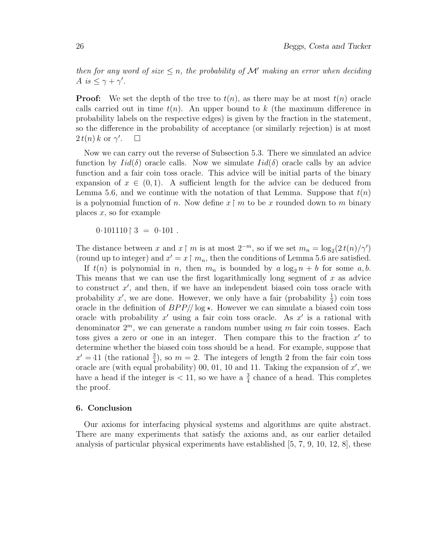then for any word of size  $\leq n$ , the probability of M' making an error when deciding A is  $\leq \gamma + \gamma'$ .

**Proof:** We set the depth of the tree to  $t(n)$ , as there may be at most  $t(n)$  oracle calls carried out in time  $t(n)$ . An upper bound to k (the maximum difference in probability labels on the respective edges) is given by the fraction in the statement, so the difference in the probability of acceptance (or similarly rejection) is at most  $2 t(n) k \text{ or } \gamma'$  $\Box$ 

Now we can carry out the reverse of Subsection 5.3. There we simulated an advice function by  $Iid(\delta)$  oracle calls. Now we simulate  $Iid(\delta)$  oracle calls by an advice function and a fair coin toss oracle. This advice will be initial parts of the binary expansion of  $x \in (0,1)$ . A sufficient length for the advice can be deduced from Lemma 5.6, and we continue with the notation of that Lemma. Suppose that  $t(n)$ is a polynomial function of n. Now define  $x \upharpoonright m$  to be x rounded down to m binary places  $x$ , so for example

 $0.101110$  | 3 =  $0.101$ .

The distance between x and  $x \restriction m$  is at most  $2^{-m}$ , so if we set  $m_n = \log_2(2 t(n)/\gamma')$ (round up to integer) and  $x' = x \restriction m_n$ , then the conditions of Lemma 5.6 are satisfied.

If  $t(n)$  is polynomial in n, then  $m_n$  is bounded by  $a \log_2 n + b$  for some  $a, b$ . This means that we can use the first logarithmically long segment of x as advice to construct  $x'$ , and then, if we have an independent biased coin toss oracle with probability x', we are done. However, we only have a fair (probability  $\frac{1}{2}$ ) coin toss oracle in the definition of  $BPP/\prime$  log  $\star$ . However we can simulate a biased coin toss oracle with probability  $x'$  using a fair coin toss oracle. As  $x'$  is a rational with denominator  $2^m$ , we can generate a random number using m fair coin tosses. Each toss gives a zero or one in an integer. Then compare this to the fraction  $x'$  to determine whether the biased coin toss should be a head. For example, suppose that  $x' = 11$  (the rational  $\frac{3}{4}$ ), so  $m = 2$ . The integers of length 2 from the fair coin toss oracle are (with equal probability) 00, 01, 10 and 11. Taking the expansion of  $x'$ , we have a head if the integer is  $< 11$ , so we have a  $\frac{3}{4}$  chance of a head. This completes the proof.

### 6. Conclusion

Our axioms for interfacing physical systems and algorithms are quite abstract. There are many experiments that satisfy the axioms and, as our earlier detailed analysis of particular physical experiments have established [5, 7, 9, 10, 12, 8], these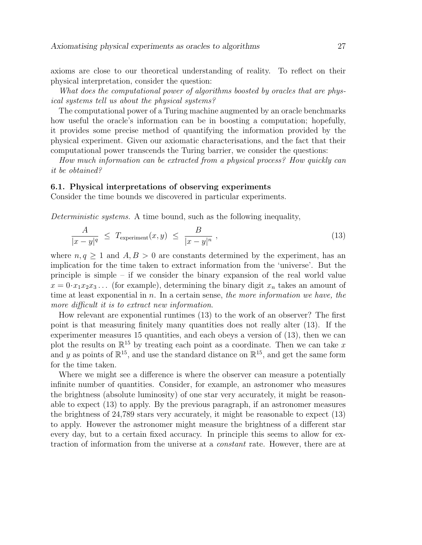axioms are close to our theoretical understanding of reality. To reflect on their physical interpretation, consider the question:

What does the computational power of algorithms boosted by oracles that are physical systems tell us about the physical systems?

The computational power of a Turing machine augmented by an oracle benchmarks how useful the oracle's information can be in boosting a computation; hopefully, it provides some precise method of quantifying the information provided by the physical experiment. Given our axiomatic characterisations, and the fact that their computational power transcends the Turing barrier, we consider the questions:

How much information can be extracted from a physical process? How quickly can it be obtained?

#### 6.1. Physical interpretations of observing experiments

Consider the time bounds we discovered in particular experiments.

Deterministic systems. A time bound, such as the following inequality,

$$
\frac{A}{|x-y|^q} \le T_{\text{experiment}}(x, y) \le \frac{B}{|x-y|^n},\tag{13}
$$

where  $n, q \geq 1$  and  $A, B > 0$  are constants determined by the experiment, has an implication for the time taken to extract information from the 'universe'. But the principle is simple – if we consider the binary expansion of the real world value  $x = 0 \tcdot x_1 x_2 x_3 \ldots$  (for example), determining the binary digit  $x_n$  takes an amount of time at least exponential in  $n$ . In a certain sense, the more information we have, the more difficult it is to extract new information.

How relevant are exponential runtimes (13) to the work of an observer? The first point is that measuring finitely many quantities does not really alter (13). If the experimenter measures 15 quantities, and each obeys a version of (13), then we can plot the results on  $\mathbb{R}^{15}$  by treating each point as a coordinate. Then we can take x and y as points of  $\mathbb{R}^{15}$ , and use the standard distance on  $\mathbb{R}^{15}$ , and get the same form for the time taken.

Where we might see a difference is where the observer can measure a potentially infinite number of quantities. Consider, for example, an astronomer who measures the brightness (absolute luminosity) of one star very accurately, it might be reasonable to expect (13) to apply. By the previous paragraph, if an astronomer measures the brightness of 24,789 stars very accurately, it might be reasonable to expect (13) to apply. However the astronomer might measure the brightness of a different star every day, but to a certain fixed accuracy. In principle this seems to allow for extraction of information from the universe at a constant rate. However, there are at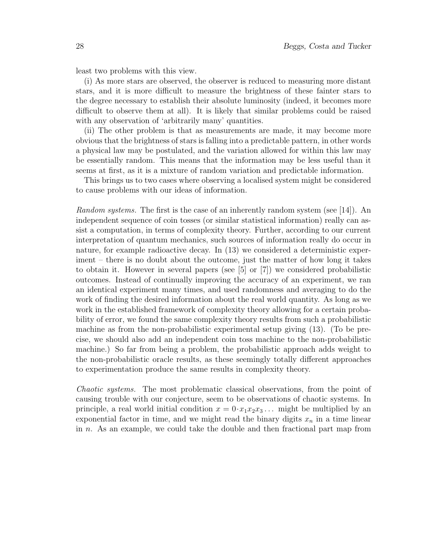least two problems with this view.

(i) As more stars are observed, the observer is reduced to measuring more distant stars, and it is more difficult to measure the brightness of these fainter stars to the degree necessary to establish their absolute luminosity (indeed, it becomes more difficult to observe them at all). It is likely that similar problems could be raised with any observation of 'arbitrarily many' quantities.

(ii) The other problem is that as measurements are made, it may become more obvious that the brightness of stars is falling into a predictable pattern, in other words a physical law may be postulated, and the variation allowed for within this law may be essentially random. This means that the information may be less useful than it seems at first, as it is a mixture of random variation and predictable information.

This brings us to two cases where observing a localised system might be considered to cause problems with our ideas of information.

Random systems. The first is the case of an inherently random system (see [14]). An independent sequence of coin tosses (or similar statistical information) really can assist a computation, in terms of complexity theory. Further, according to our current interpretation of quantum mechanics, such sources of information really do occur in nature, for example radioactive decay. In (13) we considered a deterministic experiment – there is no doubt about the outcome, just the matter of how long it takes to obtain it. However in several papers (see [5] or [7]) we considered probabilistic outcomes. Instead of continually improving the accuracy of an experiment, we ran an identical experiment many times, and used randomness and averaging to do the work of finding the desired information about the real world quantity. As long as we work in the established framework of complexity theory allowing for a certain probability of error, we found the same complexity theory results from such a probabilistic machine as from the non-probabilistic experimental setup giving (13). (To be precise, we should also add an independent coin toss machine to the non-probabilistic machine.) So far from being a problem, the probabilistic approach adds weight to the non-probabilistic oracle results, as these seemingly totally different approaches to experimentation produce the same results in complexity theory.

Chaotic systems. The most problematic classical observations, from the point of causing trouble with our conjecture, seem to be observations of chaotic systems. In principle, a real world initial condition  $x = 0 \cdot x_1 x_2 x_3 \dots$  might be multiplied by an exponential factor in time, and we might read the binary digits  $x_n$  in a time linear in n. As an example, we could take the double and then fractional part map from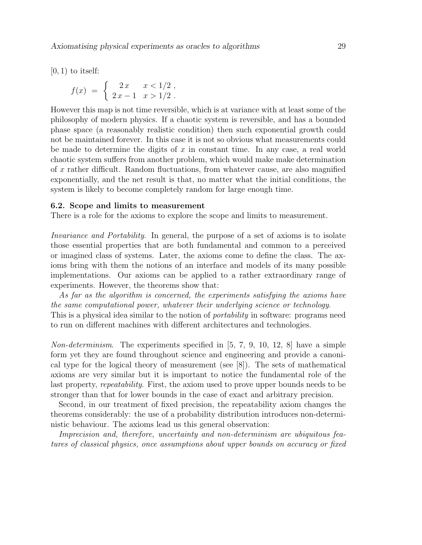$[0, 1)$  to itself:

$$
f(x) = \begin{cases} 2x & x < 1/2, \\ 2x - 1 & x > 1/2. \end{cases}
$$

However this map is not time reversible, which is at variance with at least some of the philosophy of modern physics. If a chaotic system is reversible, and has a bounded phase space (a reasonably realistic condition) then such exponential growth could not be maintained forever. In this case it is not so obvious what measurements could be made to determine the digits of x in constant time. In any case, a real world chaotic system suffers from another problem, which would make make determination of x rather difficult. Random fluctuations, from whatever cause, are also magnified exponentially, and the net result is that, no matter what the initial conditions, the system is likely to become completely random for large enough time.

# 6.2. Scope and limits to measurement

There is a role for the axioms to explore the scope and limits to measurement.

Invariance and Portability. In general, the purpose of a set of axioms is to isolate those essential properties that are both fundamental and common to a perceived or imagined class of systems. Later, the axioms come to define the class. The axioms bring with them the notions of an interface and models of its many possible implementations. Our axioms can be applied to a rather extraordinary range of experiments. However, the theorems show that:

As far as the algorithm is concerned, the experiments satisfying the axioms have the same computational power, whatever their underlying science or technology. This is a physical idea similar to the notion of *portability* in software: programs need to run on different machines with different architectures and technologies.

Non-determinism. The experiments specified in  $[5, 7, 9, 10, 12, 8]$  have a simple form yet they are found throughout science and engineering and provide a canonical type for the logical theory of measurement (see [8]). The sets of mathematical axioms are very similar but it is important to notice the fundamental role of the last property, *repeatability*. First, the axiom used to prove upper bounds needs to be stronger than that for lower bounds in the case of exact and arbitrary precision.

Second, in our treatment of fixed precision, the repeatability axiom changes the theorems considerably: the use of a probability distribution introduces non-deterministic behaviour. The axioms lead us this general observation:

Imprecision and, therefore, uncertainty and non-determinism are ubiquitous features of classical physics, once assumptions about upper bounds on accuracy or fixed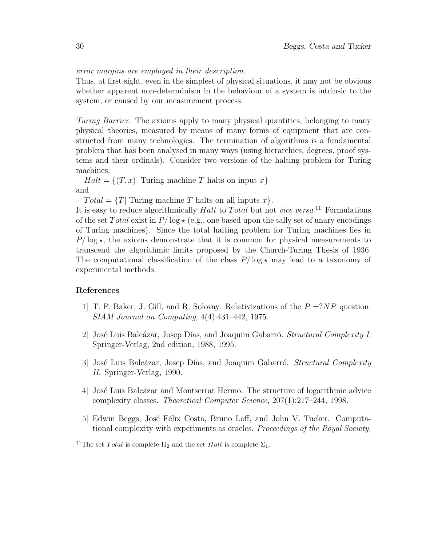### error margins are employed in their description.

Thus, at first sight, even in the simplest of physical situations, it may not be obvious whether apparent non-determinism in the behaviour of a system is intrinsic to the system, or caused by our measurement process.

Turing Barrier. The axioms apply to many physical quantities, belonging to many physical theories, measured by means of many forms of equipment that are constructed from many technologies. The termination of algorithms is a fundamental problem that has been analysed in many ways (using hierarchies, degrees, proof systems and their ordinals). Consider two versions of the halting problem for Turing machines:

 $Halt = \{(T, x) |$  Turing machine T halts on input x and

 $Total = \{T |$  Turing machine T halts on all inputs x.

It is easy to reduce algorithmically  $Halt$  to Total but not vice versa.<sup>11</sup> Formulations of the set Total exist in  $P/\log \star$  (e.g., one based upon the tally set of unary encodings of Turing machines). Since the total halting problem for Turing machines lies in  $P/\log \star$ , the axioms demonstrate that it is common for physical measurements to transcend the algorithmic limits proposed by the Church-Turing Thesis of 1936. The computational classification of the class  $P/\log \star$  may lead to a taxonomy of experimental methods.

# References

- [1] T. P. Baker, J. Gill, and R. Solovay. Relativizations of the  $P = ?NP$  question. SIAM Journal on Computing, 4(4):431–442, 1975.
- [2] José Luis Balcázar, Josep Días, and Joaquim Gabarró. Structural Complexity I. Springer-Verlag, 2nd edition, 1988, 1995.
- [3] José Luis Balcázar, Josep Días, and Joaquim Gabarró. Structural Complexity II. Springer-Verlag, 1990.
- [4] Jos´e Luis Balc´azar and Montserrat Hermo. The structure of logarithmic advice complexity classes. Theoretical Computer Science, 207(1):217–244, 1998.
- [5] Edwin Beggs, José Félix Costa, Bruno Loff, and John V. Tucker. Computational complexity with experiments as oracles. Proceedings of the Royal Society,

<sup>&</sup>lt;sup>11</sup>The set Total is complete  $\Pi_2$  and the set Halt is complete  $\Sigma_1$ .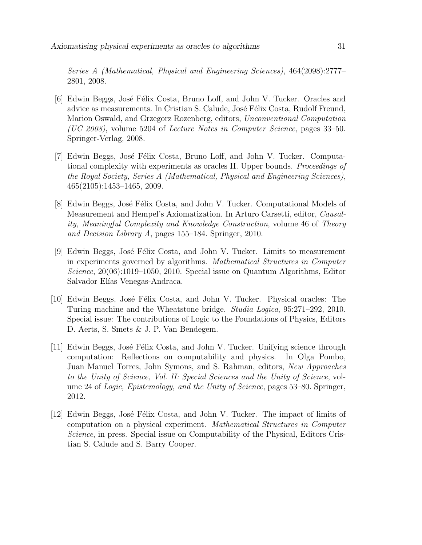Series A (Mathematical, Physical and Engineering Sciences), 464(2098):2777– 2801, 2008.

- [6] Edwin Beggs, José Félix Costa, Bruno Loff, and John V. Tucker. Oracles and advice as measurements. In Cristian S. Calude, José Félix Costa, Rudolf Freund, Marion Oswald, and Grzegorz Rozenberg, editors, Unconventional Computation (UC 2008), volume 5204 of Lecture Notes in Computer Science, pages 33–50. Springer-Verlag, 2008.
- [7] Edwin Beggs, José Félix Costa, Bruno Loff, and John V. Tucker. Computational complexity with experiments as oracles II. Upper bounds. Proceedings of the Royal Society, Series A (Mathematical, Physical and Engineering Sciences), 465(2105):1453–1465, 2009.
- [8] Edwin Beggs, José Félix Costa, and John V. Tucker. Computational Models of Measurement and Hempel's Axiomatization. In Arturo Carsetti, editor, Causality, Meaningful Complexity and Knowledge Construction, volume 46 of Theory and Decision Library A, pages 155–184. Springer, 2010.
- [9] Edwin Beggs, José Félix Costa, and John V. Tucker. Limits to measurement in experiments governed by algorithms. Mathematical Structures in Computer Science, 20(06):1019–1050, 2010. Special issue on Quantum Algorithms, Editor Salvador Elías Venegas-Andraca.
- [10] Edwin Beggs, José Félix Costa, and John V. Tucker. Physical oracles: The Turing machine and the Wheatstone bridge. Studia Logica, 95:271–292, 2010. Special issue: The contributions of Logic to the Foundations of Physics, Editors D. Aerts, S. Smets & J. P. Van Bendegem.
- [11] Edwin Beggs, José Félix Costa, and John V. Tucker. Unifying science through computation: Reflections on computability and physics. In Olga Pombo, Juan Manuel Torres, John Symons, and S. Rahman, editors, New Approaches to the Unity of Science, Vol. II: Special Sciences and the Unity of Science, volume 24 of Logic, Epistemology, and the Unity of Science, pages 53–80. Springer, 2012.
- [12] Edwin Beggs, José Félix Costa, and John V. Tucker. The impact of limits of computation on a physical experiment. Mathematical Structures in Computer Science, in press. Special issue on Computability of the Physical, Editors Cristian S. Calude and S. Barry Cooper.